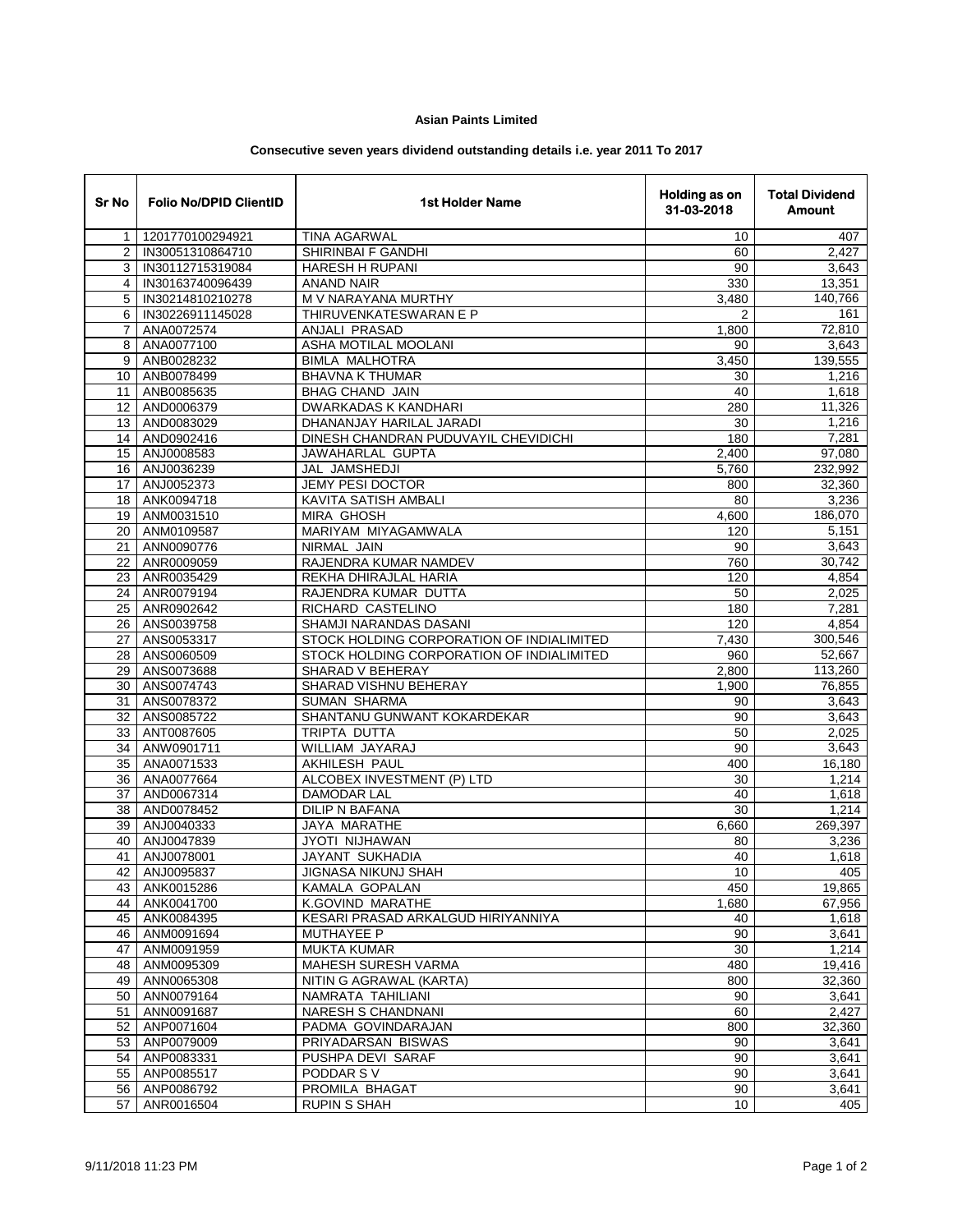## **Asian Paints Limited**

## **Consecutive seven years dividend outstanding details i.e. year 2011 To 2017**

| Sr No          | <b>Folio No/DPID ClientID</b> | <b>1st Holder Name</b>                       | Holding as on<br>31-03-2018 | <b>Total Dividend</b><br><b>Amount</b> |
|----------------|-------------------------------|----------------------------------------------|-----------------------------|----------------------------------------|
| $\mathbf{1}$   | 1201770100294921              | <b>TINA AGARWAL</b>                          | 10                          | 407                                    |
| $\overline{2}$ | IN30051310864710              | SHIRINBAI F GANDHI                           | 60                          | 2.427                                  |
| 3              | IN30112715319084              | HARESH H RUPANI                              | 90                          | 3,643                                  |
| $\overline{4}$ | IN30163740096439              | <b>ANAND NAIR</b>                            | 330                         | 13,351                                 |
| 5              | IN30214810210278              | M V NARAYANA MURTHY                          | 3,480                       | 140,766                                |
| 6              | IN30226911145028              | THIRUVENKATESWARAN E P                       | 2                           | 161                                    |
| $\overline{7}$ | ANA0072574                    | ANJALI PRASAD                                | 1,800                       | 72,810                                 |
| 8              | ANA0077100                    | ASHA MOTILAL MOOLANI                         | 90                          | 3,643                                  |
| 9              | ANB0028232                    | <b>BIMLA MALHOTRA</b>                        | 3,450                       | 139,555                                |
| 10             | ANB0078499                    | <b>BHAVNA K THUMAR</b>                       | 30                          | 1,216                                  |
| 11             | ANB0085635                    | <b>BHAG CHAND JAIN</b>                       | 40                          | 1,618                                  |
| 12             | AND0006379                    | DWARKADAS K KANDHARI                         | 280                         | 11,326                                 |
| 13             | AND0083029                    | DHANANJAY HARILAL JARADI                     | 30                          | 1,216                                  |
| 14             | AND0902416                    | DINESH CHANDRAN PUDUVAYIL CHEVIDICHI         | 180                         | 7,281                                  |
| 15             | ANJ0008583                    | JAWAHARLAL GUPTA                             | 2,400                       | 97,080                                 |
| 16             | ANJ0036239                    | JAL JAMSHEDJI                                | 5,760                       | 232,992                                |
| 17             | ANJ0052373                    | <b>JEMY PESI DOCTOR</b>                      | 800                         | 32,360                                 |
| 18             | ANK0094718                    | KAVITA SATISH AMBALI                         | 80                          | 3,236                                  |
| 19             | ANM0031510                    | <b>MIRA GHOSH</b>                            | 4,600                       | 186,070                                |
| 20             | ANM0109587                    | MARIYAM MIYAGAMWALA                          | 120                         | 5,151                                  |
| 21             | ANN0090776                    | NIRMAL JAIN                                  | 90                          | 3,643                                  |
| 22             | ANR0009059                    | RAJENDRA KUMAR NAMDEV                        | 760                         | 30,742                                 |
| 23             | ANR0035429                    | REKHA DHIRAJLAL HARIA                        | 120                         | 4,854                                  |
| 24             | ANR0079194                    | RAJENDRA KUMAR DUTTA                         | 50                          | 2,025                                  |
| 25             | ANR0902642                    | RICHARD CASTELINO                            | 180                         | 7,281                                  |
| 26             | ANS0039758                    | SHAMJI NARANDAS DASANI                       | 120                         | 4,854                                  |
| 27             | ANS0053317                    | STOCK HOLDING CORPORATION OF INDIALIMITED    | 7,430                       | 300,546                                |
| 28             | ANS0060509                    | STOCK HOLDING CORPORATION OF INDIALIMITED    | 960                         | 52,667                                 |
| 29             | ANS0073688                    | <b>SHARAD V BEHERAY</b>                      | 2,800                       | 113,260                                |
| 30             | ANS0074743                    | SHARAD VISHNU BEHERAY<br><b>SUMAN SHARMA</b> | 1,900                       | 76,855<br>3,643                        |
| 31<br>32       | ANS0078372                    | SHANTANU GUNWANT KOKARDEKAR                  | 90<br>90                    | 3,643                                  |
| 33             | ANS0085722                    | <b>TRIPTA DUTTA</b>                          | 50                          | 2,025                                  |
| 34             | ANT0087605<br>ANW0901711      | WILLIAM JAYARAJ                              | 90                          | 3,643                                  |
| 35             | ANA0071533                    | AKHILESH PAUL                                | 400                         | 16,180                                 |
| 36             | ANA0077664                    | ALCOBEX INVESTMENT (P) LTD                   | 30                          | 1,214                                  |
| 37             | AND0067314                    | <b>DAMODAR LAL</b>                           | 40                          | 1,618                                  |
| 38             | AND0078452                    | DILIP N BAFANA                               | 30                          | 1,214                                  |
| 39             | ANJ0040333                    | <b>JAYA MARATHE</b>                          | 6,660                       | 269,397                                |
| 40             | ANJ0047839                    | JYOTI NIJHAWAN                               | 80                          | 3,236                                  |
| 41             | ANJ0078001                    | <b>JAYANT SUKHADIA</b>                       | 40                          | 1,618                                  |
|                | 42 ANJ0095837                 | <b>JIGNASA NIKUNJ SHAH</b>                   | 10                          | 405                                    |
|                | 43 ANK0015286                 | KAMALA GOPALAN                               | 450                         | 19,865                                 |
| 44             | ANK0041700                    | K.GOVIND MARATHE                             | 1,680                       | 67,956                                 |
| 45             | ANK0084395                    | KESARI PRASAD ARKALGUD HIRIYANNIYA           | 40                          | 1,618                                  |
|                | 46 ANM0091694                 | <b>MUTHAYEE P</b>                            | 90                          | 3,641                                  |
| 47             | ANM0091959                    | <b>MUKTA KUMAR</b>                           | 30                          | 1,214                                  |
| 48             | ANM0095309                    | <b>MAHESH SURESH VARMA</b>                   | 480                         | 19,416                                 |
| 49             | ANN0065308                    | NITIN G AGRAWAL (KARTA)                      | 800                         | 32,360                                 |
| 50             | ANN0079164                    | NAMRATA TAHILIANI                            | 90                          | 3,641                                  |
| 51             | ANN0091687                    | NARESH S CHANDNANI                           | 60                          | 2,427                                  |
| 52             | ANP0071604                    | PADMA GOVINDARAJAN                           | 800                         | 32,360                                 |
| 53             | ANP0079009                    | PRIYADARSAN BISWAS                           | 90                          | 3,641                                  |
| 54             | ANP0083331                    | PUSHPA DEVI SARAF                            | 90                          | 3,641                                  |
|                | 55 ANP0085517                 | PODDAR SV                                    | 90                          | 3,641                                  |
| 56             | ANP0086792                    | PROMILA BHAGAT                               | 90                          | 3,641                                  |
| 57             | ANR0016504                    | <b>RUPIN S SHAH</b>                          | 10                          | 405                                    |